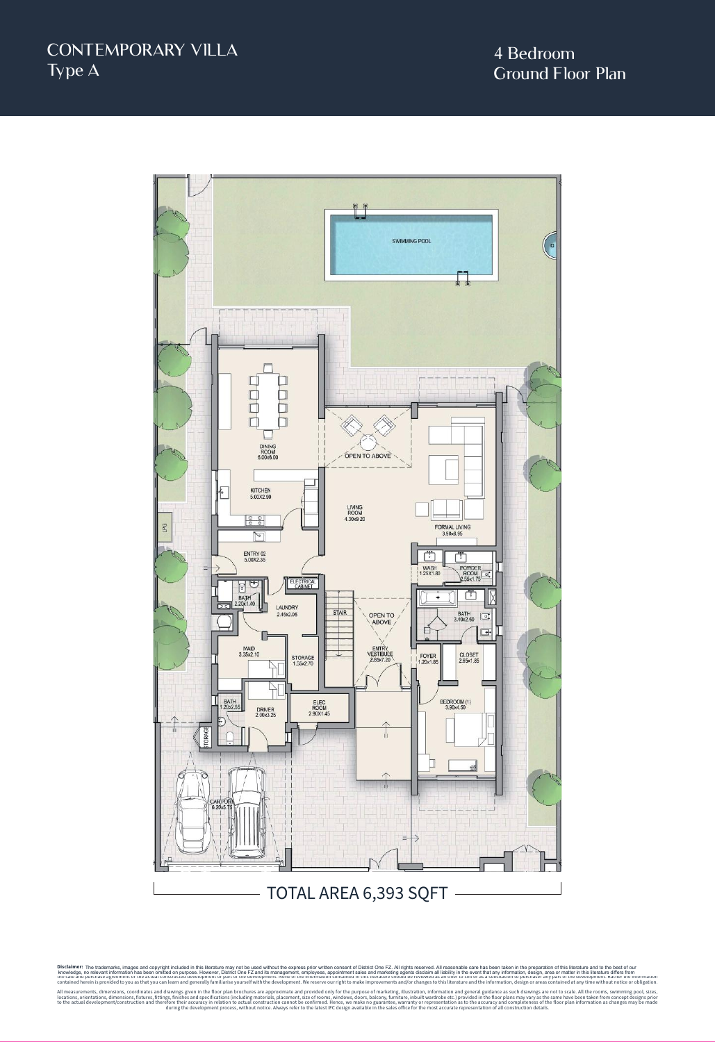

Disclaimer: The trademarks, images and copyright included in this literature may not be used without the express prior written consent of District One F2 and its management, employees, appointment sales and marketing agent Disclaimer: The trademarks, images and copyright included in this literature may not be used without the express prior written consent of District One IT. All rights research enters because and the management, employees, a

All measurements, dimensions, coordinates and drawings given in the floor plan brochures are approximate and provided only for the purpose of marketing, illustration, information and general guidance as such drawings are n locations, orientations, dimensions, fixtures, fittings, finishes and specifications (including materials, placement, size of rooms, windows, doors, balcony, furniture, inbuilt wardrobe etc.) provided in the floor plans ma